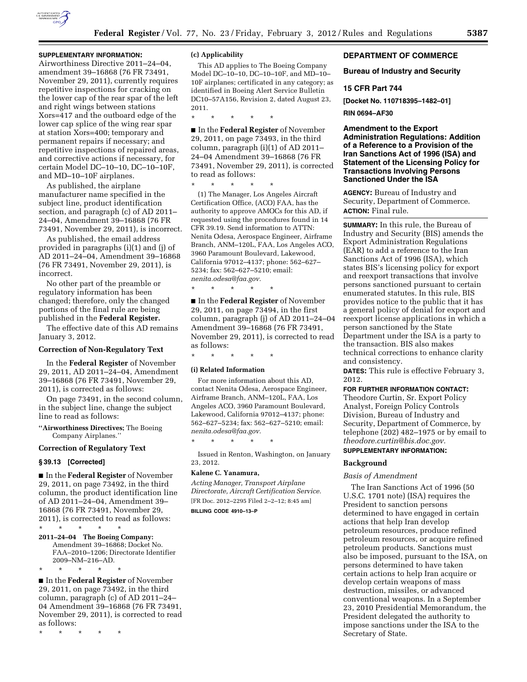

# **SUPPLEMENTARY INFORMATION:**

Airworthiness Directive 2011–24–04, amendment 39–16868 (76 FR 73491, November 29, 2011), currently requires repetitive inspections for cracking on the lower cap of the rear spar of the left and right wings between stations Xors=417 and the outboard edge of the lower cap splice of the wing rear spar at station Xors=400; temporary and permanent repairs if necessary; and repetitive inspections of repaired areas, and corrective actions if necessary, for certain Model DC–10–10, DC–10–10F, and MD–10–10F airplanes.

As published, the airplane manufacturer name specified in the subject line, product identification section, and paragraph (c) of AD 2011– 24–04, Amendment 39–16868 (76 FR 73491, November 29, 2011), is incorrect.

As published, the email address provided in paragraphs (i)(1) and (j) of AD 2011–24–04, Amendment 39–16868 (76 FR 73491, November 29, 2011), is incorrect.

No other part of the preamble or regulatory information has been changed; therefore, only the changed portions of the final rule are being published in the **Federal Register.** 

The effective date of this AD remains January 3, 2012.

#### **Correction of Non-Regulatory Text**

In the **Federal Register** of November 29, 2011, AD 2011–24–04, Amendment 39–16868 (76 FR 73491, November 29, 2011), is corrected as follows:

On page 73491, in the second column, in the subject line, change the subject line to read as follows:

**''Airworthiness Directives;** The Boeing Company Airplanes.''

#### **Correction of Regulatory Text**

#### **§ 39.13 [Corrected]**

■ In the **Federal Register** of November 29, 2011, on page 73492, in the third column, the product identification line of AD 2011–24–04, Amendment 39– 16868 (76 FR 73491, November 29, 2011), is corrected to read as follows: \* \* \* \* \*

**2011–24–04 The Boeing Company:**  Amendment 39–16868; Docket No. FAA–2010–1206; Directorate Identifier 2009–NM–216–AD.

■ In the **Federal Register** of November 29, 2011, on page 73492, in the third column, paragraph (c) of AD 2011–24– 04 Amendment 39–16868 (76 FR 73491, November 29, 2011), is corrected to read as follows:

\* \* \* \* \*

\* \* \* \* \*

#### **(c) Applicability**

This AD applies to The Boeing Company Model DC–10–10, DC–10–10F, and MD–10– 10F airplanes; certificated in any category; as identified in Boeing Alert Service Bulletin DC10–57A156, Revision 2, dated August 23, 2011.

\* \* \* \* \*

■ In the **Federal Register** of November 29, 2011, on page 73493, in the third column, paragraph (i)(1) of AD 2011– 24–04 Amendment 39–16868 (76 FR 73491, November 29, 2011), is corrected to read as follows:

\* \* \* \* \*

(1) The Manager, Los Angeles Aircraft Certification Office, (ACO) FAA, has the authority to approve AMOCs for this AD, if requested using the procedures found in 14 CFR 39.19. Send information to ATTN: Nenita Odesa, Aerospace Engineer, Airframe Branch, ANM–120L, FAA, Los Angeles ACO, 3960 Paramount Boulevard, Lakewood, California 97012–4137; phone: 562–627– 5234; fax: 562–627–5210; email: *[nenita.odesa@faa.gov.](mailto:nenita.odesa@faa.gov)* 

\* \* \* \* \*

■ In the **Federal Register** of November 29, 2011, on page 73494, in the first column, paragraph (j) of AD 2011–24–04 Amendment 39–16868 (76 FR 73491, November 29, 2011), is corrected to read as follows:

\* \* \* \* \*

#### **(i) Related Information**

For more information about this AD, contact Nenita Odesa, Aerospace Engineer, Airframe Branch, ANM–120L, FAA, Los Angeles ACO, 3960 Paramount Boulevard, Lakewood, California 97012–4137; phone: 562–627–5234; fax: 562–627–5210; email: *[nenita.odesa@faa.gov.](mailto:nenita.odesa@faa.gov)* 

Issued in Renton, Washington, on January 23, 2012.

# **Kalene C. Yanamura,**

\* \* \* \* \*

*Acting Manager, Transport Airplane Directorate, Aircraft Certification Service.*  [FR Doc. 2012–2295 Filed 2–2–12; 8:45 am] **BILLING CODE 4910–13–P** 

# **DEPARTMENT OF COMMERCE**

# **Bureau of Industry and Security**

# **15 CFR Part 744**

**[Docket No. 110718395–1482–01]** 

**RIN 0694–AF30** 

**Amendment to the Export Administration Regulations: Addition of a Reference to a Provision of the Iran Sanctions Act of 1996 (ISA) and Statement of the Licensing Policy for Transactions Involving Persons Sanctioned Under the ISA** 

**AGENCY:** Bureau of Industry and Security, Department of Commerce. **ACTION:** Final rule.

**SUMMARY:** In this rule, the Bureau of Industry and Security (BIS) amends the Export Administration Regulations (EAR) to add a reference to the Iran Sanctions Act of 1996 (ISA), which states BIS's licensing policy for export and reexport transactions that involve persons sanctioned pursuant to certain enumerated statutes. In this rule, BIS provides notice to the public that it has a general policy of denial for export and reexport license applications in which a person sanctioned by the State Department under the ISA is a party to the transaction. BIS also makes technical corrections to enhance clarity and consistency.

**DATES:** This rule is effective February 3, 2012.

# **FOR FURTHER INFORMATION CONTACT:**

Theodore Curtin, Sr. Export Policy Analyst, Foreign Policy Controls Division, Bureau of Industry and Security, Department of Commerce, by telephone (202) 482–1975 or by email to *[theodore.curtin@bis.doc.gov.](mailto:theodore.curtin@bis.doc.gov)* 

# **SUPPLEMENTARY INFORMATION:**

# **Background**

#### *Basis of Amendment*

The Iran Sanctions Act of 1996 (50 U.S.C. 1701 note) (ISA) requires the President to sanction persons determined to have engaged in certain actions that help Iran develop petroleum resources, produce refined petroleum resources, or acquire refined petroleum products. Sanctions must also be imposed, pursuant to the ISA, on persons determined to have taken certain actions to help Iran acquire or develop certain weapons of mass destruction, missiles, or advanced conventional weapons. In a September 23, 2010 Presidential Memorandum, the President delegated the authority to impose sanctions under the ISA to the Secretary of State.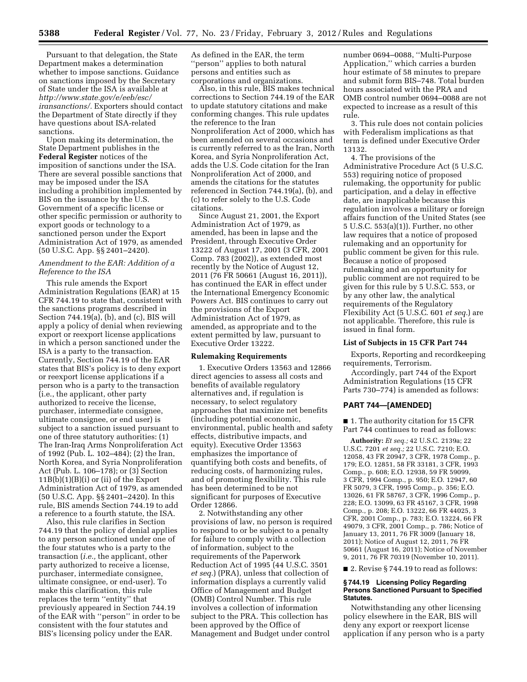Pursuant to that delegation, the State Department makes a determination whether to impose sanctions. Guidance on sanctions imposed by the Secretary of State under the ISA is available at *[http://www.state.gov/e/eeb/esc/](http://www.state.gov/e/eeb/esc/iransanctions/) [iransanctions/.](http://www.state.gov/e/eeb/esc/iransanctions/)* Exporters should contact the Department of State directly if they have questions about ISA-related sanctions.

Upon making its determination, the State Department publishes in the **Federal Register** notices of the imposition of sanctions under the ISA. There are several possible sanctions that may be imposed under the ISA including a prohibition implemented by BIS on the issuance by the U.S. Government of a specific license or other specific permission or authority to export goods or technology to a sanctioned person under the Export Administration Act of 1979, as amended (50 U.S.C. App. §§ 2401–2420).

# *Amendment to the EAR: Addition of a Reference to the ISA*

This rule amends the Export Administration Regulations (EAR) at 15 CFR 744.19 to state that, consistent with the sanctions programs described in Section 744.19(a), (b), and (c), BIS will apply a policy of denial when reviewing export or reexport license applications in which a person sanctioned under the ISA is a party to the transaction. Currently, Section 744.19 of the EAR states that BIS's policy is to deny export or reexport license applications if a person who is a party to the transaction (i.e., the applicant, other party authorized to receive the license, purchaser, intermediate consignee, ultimate consignee, or end user) is subject to a sanction issued pursuant to one of three statutory authorities: (1) The Iran-Iraq Arms Nonproliferation Act of 1992 (Pub. L. 102–484); (2) the Iran, North Korea, and Syria Nonproliferation Act (Pub. L. 106–178); or (3) Section  $11B(b)(1)(B)(i)$  or (ii) of the Export Administration Act of 1979, as amended (50 U.S.C. App. §§ 2401–2420). In this rule, BIS amends Section 744.19 to add a reference to a fourth statute, the ISA.

Also, this rule clarifies in Section 744.19 that the policy of denial applies to any person sanctioned under one of the four statutes who is a party to the transaction (*i.e.,* the applicant, other party authorized to receive a license, purchaser, intermediate consignee, ultimate consignee, or end-user). To make this clarification, this rule replaces the term ''entity'' that previously appeared in Section 744.19 of the EAR with ''person'' in order to be consistent with the four statutes and BIS's licensing policy under the EAR.

As defined in the EAR, the term ''person'' applies to both natural persons and entities such as corporations and organizations.

Also, in this rule, BIS makes technical corrections to Section 744.19 of the EAR to update statutory citations and make conforming changes. This rule updates the reference to the Iran Nonproliferation Act of 2000, which has been amended on several occasions and is currently referred to as the Iran, North Korea, and Syria Nonproliferation Act, adds the U.S. Code citation for the Iran Nonproliferation Act of 2000, and amends the citations for the statutes referenced in Section 744.19(a), (b), and (c) to refer solely to the U.S. Code citations.

Since August 21, 2001, the Export Administration Act of 1979, as amended, has been in lapse and the President, through Executive Order 13222 of August 17, 2001 (3 CFR, 2001 Comp. 783 (2002)), as extended most recently by the Notice of August 12, 2011 (76 FR 50661 (August 16, 2011)), has continued the EAR in effect under the International Emergency Economic Powers Act. BIS continues to carry out the provisions of the Export Administration Act of 1979, as amended, as appropriate and to the extent permitted by law, pursuant to Executive Order 13222.

#### **Rulemaking Requirements**

1. Executive Orders 13563 and 12866 direct agencies to assess all costs and benefits of available regulatory alternatives and, if regulation is necessary, to select regulatory approaches that maximize net benefits (including potential economic, environmental, public health and safety effects, distributive impacts, and equity). Executive Order 13563 emphasizes the importance of quantifying both costs and benefits, of reducing costs, of harmonizing rules, and of promoting flexibility. This rule has been determined to be not significant for purposes of Executive Order 12866.

2. Notwithstanding any other provisions of law, no person is required to respond to or be subject to a penalty for failure to comply with a collection of information, subject to the requirements of the Paperwork Reduction Act of 1995 (44 U.S.C. 3501 *et seq.*) (PRA), unless that collection of information displays a currently valid Office of Management and Budget (OMB) Control Number. This rule involves a collection of information subject to the PRA. This collection has been approved by the Office of Management and Budget under control

number 0694–0088, ''Multi-Purpose Application,'' which carries a burden hour estimate of 58 minutes to prepare and submit form BIS–748. Total burden hours associated with the PRA and OMB control number 0694–0088 are not expected to increase as a result of this rule.

3. This rule does not contain policies with Federalism implications as that term is defined under Executive Order 13132.

4. The provisions of the Administrative Procedure Act (5 U.S.C. 553) requiring notice of proposed rulemaking, the opportunity for public participation, and a delay in effective date, are inapplicable because this regulation involves a military or foreign affairs function of the United States (see 5 U.S.C. 553(a)(1)). Further, no other law requires that a notice of proposed rulemaking and an opportunity for public comment be given for this rule. Because a notice of proposed rulemaking and an opportunity for public comment are not required to be given for this rule by 5 U.S.C. 553, or by any other law, the analytical requirements of the Regulatory Flexibility Act (5 U.S.C. 601 *et seq.*) are not applicable. Therefore, this rule is issued in final form.

## **List of Subjects in 15 CFR Part 744**

Exports, Reporting and recordkeeping requirements, Terrorism.

Accordingly, part 744 of the Export Administration Regulations (15 CFR Parts 730–774) is amended as follows:

# **PART 744—[AMENDED]**

■ 1. The authority citation for 15 CFR Part 744 continues to read as follows:

**Authority:** *Et seq.;* 42 U.S.C. 2139a; 22 U.S.C. 7201 *et seq.;* 22 U.S.C. 7210; E.O. 12058, 43 FR 20947, 3 CFR, 1978 Comp., p. 179; E.O. 12851, 58 FR 33181, 3 CFR, 1993 Comp., p. 608; E.O. 12938, 59 FR 59099, 3 CFR, 1994 Comp., p. 950; E.O. 12947, 60 FR 5079, 3 CFR, 1995 Comp., p. 356; E.O. 13026, 61 FR 58767, 3 CFR, 1996 Comp., p. 228; E.O. 13099, 63 FR 45167, 3 CFR, 1998 Comp., p. 208; E.O. 13222, 66 FR 44025, 3 CFR, 2001 Comp., p. 783; E.O. 13224, 66 FR 49079, 3 CFR, 2001 Comp., p. 786; Notice of January 13, 2011, 76 FR 3009 (January 18, 2011); Notice of August 12, 2011, 76 FR 50661 (August 16, 2011); Notice of November 9, 2011, 76 FR 70319 (November 10, 2011).

■ 2. Revise § 744.19 to read as follows:

# **§ 744.19 Licensing Policy Regarding Persons Sanctioned Pursuant to Specified Statutes.**

Notwithstanding any other licensing policy elsewhere in the EAR, BIS will deny any export or reexport license application if any person who is a party